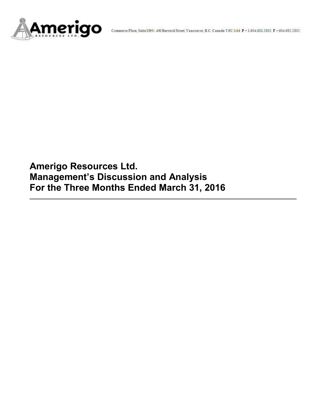

**Amerigo Resources Ltd. Management's Discussion and Analysis For the Three Months Ended March 31, 2016**

**\_\_\_\_\_\_\_\_\_\_\_\_\_\_\_\_\_\_\_\_\_\_\_\_\_\_\_\_\_\_\_\_\_\_\_\_\_\_\_\_\_\_\_\_\_\_\_\_\_\_\_\_\_\_\_\_\_\_\_\_\_\_\_\_\_\_\_\_\_\_\_\_\_\_\_\_\_\_\_\_\_\_\_\_**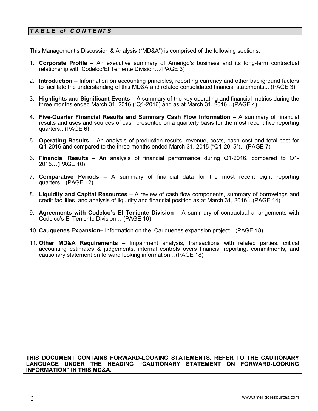# *T A B L E of C O N T E NT S*

This Management's Discussion & Analysis ("MD&A") is comprised of the following sections:

- 1. **Corporate Profile**  An executive summary of Amerigo's business and its long-term contractual relationship with Codelco/El Teniente Division…(PAGE 3)
- 2. **Introduction**  Information on accounting principles, reporting currency and other background factors to facilitate the understanding of this MD&A and related consolidated financial statements... (PAGE 3)
- 3. **Highlights and Significant Events** A summary of the key operating and financial metrics during the three months ended March 31, 2016 ("Q1-2016) and as at March 31, 2016…(PAGE 4)
- 4. **Five-Quarter Financial Results and Summary Cash Flow Information** A summary of financial results and uses and sources of cash presented on a quarterly basis for the most recent five reporting quarters...(PAGE 6)
- 5. **Operating Results** An analysis of production results, revenue, costs, cash cost and total cost for Q1-2016 and compared to the three months ended March 31, 2015 ("Q1-2015")…(PAGE 7)
- 6. **Financial Results** An analysis of financial performance during Q1-2016, compared to Q1- 2015…(PAGE 10)
- 7. **Comparative Periods** A summary of financial data for the most recent eight reporting quarters…(PAGE 12)
- 8. **Liquidity and Capital Resources** A review of cash flow components, summary of borrowings and credit facilities and analysis of liquidity and financial position as at March 31, 2016…(PAGE 14)
- 9. **Agreements with Codelco's El Teniente Division** A summary of contractual arrangements with Codelco's El Teniente Division… (PAGE 16)
- 10. **Cauquenes Expansion–** Information on the Cauquenes expansion project…(PAGE 18)
- 11. **Other MD&A Requirements** Impairment analysis, transactions with related parties, critical accounting estimates & judgements, internal controls overs financial reporting, commitments, and cautionary statement on forward looking information…(PAGE 18)

**THIS DOCUMENT CONTAINS FORWARD-LOOKING STATEMENTS. REFER TO THE CAUTIONARY LANGUAGE UNDER THE HEADING "CAUTIONARY STATEMENT ON FORWARD-LOOKING INFORMATION" IN THIS MD&A.**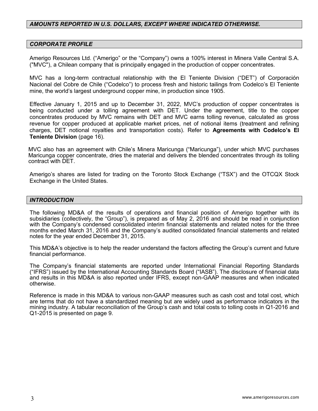# *AMOUNTS REPORTED IN U.S. DOLLARS, EXCEPT WHERE INDICATED OTHERWISE.*

#### *CORPORATE PROFILE*

Amerigo Resources Ltd. ("Amerigo" or the "Company") owns a 100% interest in Minera Valle Central S.A. ("MVC"), a Chilean company that is principally engaged in the production of copper concentrates.

MVC has a long-term contractual relationship with the El Teniente Division ("DET") of Corporación Nacional del Cobre de Chile ("Codelco") to process fresh and historic tailings from Codelco's El Teniente mine, the world's largest underground copper mine, in production since 1905.

Effective January 1, 2015 and up to December 31, 2022, MVC's production of copper concentrates is being conducted under a tolling agreement with DET. Under the agreement, title to the copper concentrates produced by MVC remains with DET and MVC earns tolling revenue, calculated as gross revenue for copper produced at applicable market prices, net of notional items (treatment and refining charges, DET notional royalties and transportation costs). Refer to **Agreements with Codelco's El Teniente Division** (page 16).

MVC also has an agreement with Chile's Minera Maricunga ("Maricunga"), under which MVC purchases Maricunga copper concentrate, dries the material and delivers the blended concentrates through its tolling contract with DET.

Amerigo's shares are listed for trading on the Toronto Stock Exchange ("TSX") and the OTCQX Stock Exchange in the United States.

#### *INTRODUCTION*

The following MD&A of the results of operations and financial position of Amerigo together with its subsidiaries (collectively, the "Group"), is prepared as of May 2, 2016 and should be read in conjunction with the Company's condensed consolidated interim financial statements and related notes for the three months ended March 31, 2016 and the Company's audited consolidated financial statements and related notes for the year ended December 31, 2015.

This MD&A's objective is to help the reader understand the factors affecting the Group's current and future financial performance.

The Company's financial statements are reported under International Financial Reporting Standards ("IFRS") issued by the International Accounting Standards Board ("IASB"). The disclosure of financial data and results in this MD&A is also reported under IFRS, except non-GAAP measures and when indicated otherwise.

Reference is made in this MD&A to various non-GAAP measures such as cash cost and total cost, which are terms that do not have a standardized meaning but are widely used as performance indicators in the mining industry. A tabular reconciliation of the Group's cash and total costs to tolling costs in Q1-2016 and Q1-2015 is presented on page 9.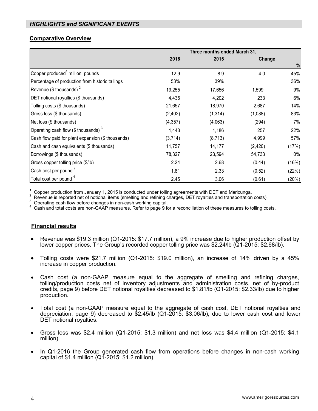# *HIGHLIGHTS and SIGNIFICANT EVENTS*

# **Comparative Overview**

|                                                   | Three months ended March 31, |          |         |       |
|---------------------------------------------------|------------------------------|----------|---------|-------|
|                                                   | 2016                         | 2015     | Change  |       |
|                                                   |                              |          |         | $\%$  |
| Copper produced <sup>1</sup> million pounds       | 12.9                         | 8.9      | 4.0     | 45%   |
| Percentage of production from historic tailings   | 53%                          | 39%      |         | 36%   |
| Revenue (\$ thousands) $2$                        | 19,255                       | 17,656   | 1,599   | 9%    |
| DET notional royalties (\$ thousands)             | 4,435                        | 4,202    | 233     | 6%    |
| Tolling costs (\$ thousands)                      | 21,657                       | 18,970   | 2,687   | 14%   |
| Gross loss (\$ thousands)                         | (2,402)                      | (1, 314) | (1,088) | 83%   |
| Net loss (\$ thousands)                           | (4, 357)                     | (4,063)  | (294)   | 7%    |
| Operating cash flow (\$ thousands) $3$            | 1,443                        | 1,186    | 257     | 22%   |
| Cash flow paid for plant expansion (\$ thousands) | (3,714)                      | (8,713)  | 4,999   | 57%   |
| Cash and cash equivalents (\$ thousands)          | 11,757                       | 14,177   | (2,420) | (17%) |
| Borrowings (\$ thousands)                         | 78,327                       | 23,594   | 54,733  | $0\%$ |
| Gross copper tolling price (\$/lb)                | 2.24                         | 2.68     | (0.44)  | (16%) |
| Cash cost per pound <sup>4</sup>                  | 1.81                         | 2.33     | (0.52)  | (22%) |
| Total cost per pound <sup>4</sup>                 | 2.45                         | 3.06     | (0.61)  | (20%) |

<sup>1</sup> Copper production from January 1, 2015 is conducted under tolling agreements with DET and Maricunga.<br><sup>2</sup> Revenue is reported net of notional items (smelting and refining charges, DET royalties and transportation costs

<sup>4</sup> Cash and total costs are non-GAAP measures. Refer to page 9 for a reconciliation of these measures to tolling costs.

# **Financial results**

- Revenue was \$19.3 million (Q1-2015: \$17.7 million), a 9% increase due to higher production offset by lower copper prices. The Group's recorded copper tolling price was \$2.24/lb (Q1-2015: \$2.68/lb).
- Tolling costs were \$21.7 million (Q1-2015: \$19.0 million), an increase of 14% driven by a 45% increase in copper production.
- Cash cost (a non-GAAP measure equal to the aggregate of smelting and refining charges, tolling/production costs net of inventory adjustments and administration costs, net of by-product credits, page 9) before DET notional royalties decreased to \$1.81/lb (Q1-2015: \$2.33/lb) due to higher production.
- Total cost (a non-GAAP measure equal to the aggregate of cash cost, DET notional royalties and depreciation, page 9) decreased to \$2.45/lb (Q1-2015: \$3.06/lb), due to lower cash cost and lower DET notional royalties.
- Gross loss was \$2.4 million (Q1-2015: \$1.3 million) and net loss was \$4.4 million (Q1-2015: \$4.1 million).
- In Q1-2016 the Group generated cash flow from operations before changes in non-cash working capital of \$1.4 million  $(Q_1 - 2015: $1.2$  million).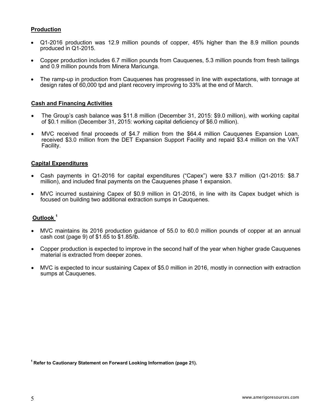# **Production**

- Q1-2016 production was 12.9 million pounds of copper, 45% higher than the 8.9 million pounds produced in Q1-2015.
- Copper production includes 6.7 million pounds from Cauquenes, 5.3 million pounds from fresh tailings and 0.9 million pounds from Minera Maricunga.
- The ramp-up in production from Cauquenes has progressed in line with expectations, with tonnage at design rates of 60,000 tpd and plant recovery improving to 33% at the end of March.

#### **Cash and Financing Activities**

- The Group's cash balance was \$11.8 million (December 31, 2015: \$9.0 million), with working capital of \$0.1 million (December 31, 2015: working capital deficiency of \$6.0 million).
- MVC received final proceeds of \$4.7 million from the \$64.4 million Cauquenes Expansion Loan, received \$3.0 million from the DET Expansion Support Facility and repaid \$3.4 million on the VAT Facility.

#### **Capital Expenditures**

- Cash payments in Q1-2016 for capital expenditures ("Capex") were \$3.7 million (Q1-2015: \$8.7 million), and included final payments on the Cauquenes phase 1 expansion.
- MVC incurred sustaining Capex of \$0.9 million in Q1-2016, in line with its Capex budget which is focused on building two additional extraction sumps in Cauquenes.

# **Outlook <sup>1</sup>**

- MVC maintains its 2016 production guidance of 55.0 to 60.0 million pounds of copper at an annual cash cost (page 9) of \$1.65 to \$1.85/lb.
- Copper production is expected to improve in the second half of the year when higher grade Cauquenes material is extracted from deeper zones.
- MVC is expected to incur sustaining Capex of \$5.0 million in 2016, mostly in connection with extraction sumps at Cauquenes.

<sup>1</sup> Refer to Cautionary Statement on Forward Looking Information (page 21).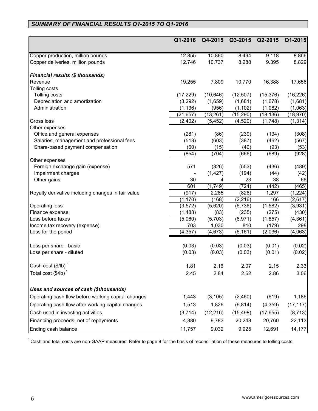# *SUMMARY OF FINANCIAL RESULTS Q1-2015 TO Q1-2016*

|                                                    | Q1-2016   | Q4-2015   | Q3-2015   | Q2-2015   | Q1-2015   |
|----------------------------------------------------|-----------|-----------|-----------|-----------|-----------|
|                                                    |           |           |           |           |           |
| Copper production, million pounds                  | 12.855    | 10.860    | 8.494     | 9.118     | 8.866     |
| Copper deliveries, million pounds                  | 12.746    | 10.737    | 8.288     | 9.395     | 8.829     |
| <b>Financial results (\$ thousands)</b>            |           |           |           |           |           |
| Revenue                                            | 19,255    | 7,809     | 10,770    | 16,388    | 17,656    |
| Tolling costs                                      |           |           |           |           |           |
| Tolling costs                                      | (17, 229) | (10, 646) | (12, 507) | (15, 376) | (16, 226) |
| Depreciation and amortization                      | (3,292)   | (1,659)   | (1,681)   | (1,678)   | (1,681)   |
| Administration                                     | (1, 136)  | (956)     | (1, 102)  | (1,082)   | (1,063)   |
|                                                    | (21, 657) | (13, 261) | (15, 290) | (18, 136) | (18, 970) |
| Gross loss                                         | (2, 402)  | (5, 452)  | (4, 520)  | (1,748)   | (1, 314)  |
| Other expenses                                     |           |           |           |           |           |
| Office and general expenses                        | (281)     | (86)      | (239)     | (134)     | (308)     |
| Salaries, management and professional fees         | (513)     | (603)     | (387)     | (462)     | (567)     |
| Share-based payment compensation                   | (60)      | (15)      | (40)      | (93)      | (53)      |
|                                                    | (854)     | (704)     | (666)     | (689)     | (928)     |
| Other expenses                                     |           |           |           |           |           |
| Foreign exchange gain (expense)                    | 571       | (326)     | (553)     | (436)     | (489)     |
| Impairment charges                                 |           | (1, 427)  | (194)     | (44)      | (42)      |
| Other gains                                        | 30        | 4         | 23        | 38        | 66        |
|                                                    | 601       | (1,749)   | (724)     | (442)     | (465)     |
| Royalty derivative including changes in fair value | (917)     | 2,285     | (826)     | 1,297     | (1,224)   |
|                                                    | (1, 170)  | (168)     | (2, 216)  | 166       | (2,617)   |
| Operating loss                                     | (3, 572)  | (5,620)   | (6,736)   | (1, 582)  | (3,931)   |
| Finance expense                                    | (1,488)   | (83)      | (235)     | (275)     | (430)     |
| Loss before taxes                                  | (5,060)   | (5,703)   | (6,971)   | (1, 857)  | (4, 361)  |
| Income tax recovery (expense)                      | 703       | 1,030     | 810       | (179)     | 298       |
| Loss for the period                                | (4, 357)  | (4, 673)  | (6, 161)  | (2,036)   | (4,063)   |
| Loss per share - basic                             | (0.03)    | (0.03)    | (0.03)    | (0.01)    | (0.02)    |
| Loss per share - diluted                           | (0.03)    | (0.03)    | (0.03)    | (0.01)    | (0.02)    |
| Cash cost $(\$/IB)^1$                              | 1.81      | 2.16      | 2.07      | 2.15      | 2.33      |
| Total cost (\$/lb) $^\text{1}$                     | 2.45      | 2.84      | 2.62      | 2.86      | 3.06      |
| Uses and sources of cash (\$thousands)             |           |           |           |           |           |
| Operating cash flow before working capital changes | 1,443     | (3, 105)  | (2,460)   | (619)     | 1,186     |
|                                                    |           |           |           |           |           |
| Operating cash flow after working capital changes  | 1,513     | 1,826     | (6, 814)  | (4,359)   | (17, 117) |
| Cash used in investing activities                  | (3,714)   | (12, 216) | (15, 498) | (17, 655) | (8, 713)  |
| Financing proceeds, net of repayments              | 4,380     | 9,783     | 20,248    | 20,760    | 22,113    |
| Ending cash balance                                | 11,757    | 9,032     | 9,925     | 12,691    | 14,177    |

 $1$  Cash and total costs are non-GAAP measures. Refer to page 9 for the basis of reconciliation of these measures to tolling costs.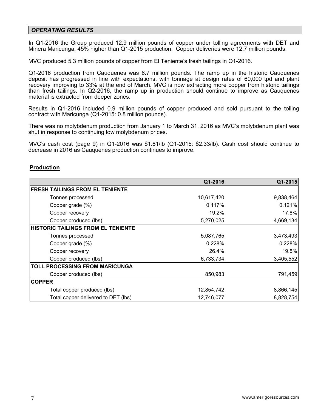#### *OPERATING RESULTS*

In Q1-2016 the Group produced 12.9 million pounds of copper under tolling agreements with DET and Minera Maricunga, 45% higher than Q1-2015 production. Copper deliveries were 12.7 million pounds.

MVC produced 5.3 million pounds of copper from El Teniente's fresh tailings in Q1-2016.

Q1-2016 production from Cauquenes was 6.7 million pounds. The ramp up in the historic Cauquenes deposit has progressed in line with expectations, with tonnage at design rates of 60,000 tpd and plant recovery improving to 33% at the end of March. MVC is now extracting more copper from historic tailings than fresh tailings. In Q2-2016, the ramp up in production should continue to improve as Cauquenes material is extracted from deeper zones.

Results in Q1-2016 included 0.9 million pounds of copper produced and sold pursuant to the tolling contract with Maricunga (Q1-2015: 0.8 million pounds).

There was no molybdenum production from January 1 to March 31, 2016 as MVC's molybdenum plant was shut in response to continuing low molybdenum prices.

MVC's cash cost (page 9) in Q1-2016 was \$1.81/lb (Q1-2015: \$2.33/lb). Cash cost should continue to decrease in 2016 as Cauquenes production continues to improve.

#### **Production**

|                                            | Q1-2016    | Q1-2015   |
|--------------------------------------------|------------|-----------|
| <b>FRESH TAILINGS FROM EL TENIENTE</b>     |            |           |
| Tonnes processed                           | 10,617,420 | 9,838,464 |
| Copper grade (%)                           | 0.117%     | 0.121%    |
| Copper recovery                            | 19.2%      | 17.8%     |
| Copper produced (lbs)                      | 5,270,025  | 4,669,134 |
| <b>IHISTORIC TAILINGS FROM EL TENIENTE</b> |            |           |
| Tonnes processed                           | 5,087,765  | 3,473,493 |
| Copper grade (%)                           | 0.228%     | 0.228%    |
| Copper recovery                            | 26.4%      | 19.5%     |
| Copper produced (lbs)                      | 6,733,734  | 3,405,552 |
| <b>TOLL PROCESSING FROM MARICUNGA</b>      |            |           |
| Copper produced (lbs)                      | 850,983    | 791,459   |
| <b>COPPER</b>                              |            |           |
| Total copper produced (lbs)                | 12,854,742 | 8,866,145 |
| Total copper delivered to DET (lbs)        | 12,746,077 | 8,828,754 |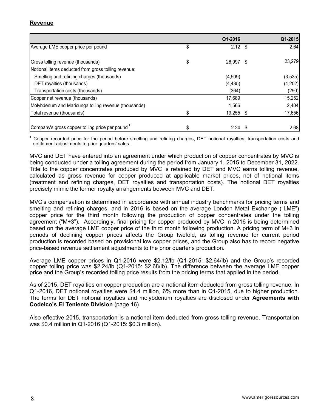# **Revenue**

|                                                      | Q1-2016         | Q1-2015  |
|------------------------------------------------------|-----------------|----------|
| Average LME copper price per pound                   | \$<br>$2.12$ \$ | 2.64     |
| Gross tolling revenue (thousands)                    | \$<br>26,997 \$ | 23,279   |
| Notional items deducted from gross tolling revenue:  |                 |          |
| Smelting and refining charges (thousands)            | (4,509)         | (3, 535) |
| DET royalties (thousands)                            | (4, 435)        | (4,202)  |
| Transportation costs (thousands)                     | (364)           | (290)    |
| Copper net revenue (thousands)                       | 17,689          | 15,252   |
| Molybdenum and Maricunga tolling revenue (thousands) | 1.566           | 2,404    |
| Total revenue (thousands)                            | 19,255 \$       | 17,656   |
| Company's gross copper tolling price per pound 1     | 2.24            | 2.68     |

<sup>1</sup> Copper recorded price for the period before smelting and refining charges, DET notional royalties, transportation costs and settlement adjustments to prior quarters' sales.

MVC and DET have entered into an agreement under which production of copper concentrates by MVC is being conducted under a tolling agreement during the period from January 1, 2015 to December 31, 2022. Title to the copper concentrates produced by MVC is retained by DET and MVC earns tolling revenue, calculated as gross revenue for copper produced at applicable market prices, net of notional items (treatment and refining charges, DET royalties and transportation costs). The notional DET royalties precisely mimic the former royalty arrangements between MVC and DET.

MVC's compensation is determined in accordance with annual industry benchmarks for pricing terms and smelting and refining charges, and in 2016 is based on the average London Metal Exchange ("LME") copper price for the third month following the production of copper concentrates under the tolling agreement ("M+3"). Accordingly, final pricing for copper produced by MVC in 2016 is being determined based on the average LME copper price of the third month following production. A pricing term of M+3 in periods of declining copper prices affects the Group twofold, as tolling revenue for current period production is recorded based on provisional low copper prices, and the Group also has to record negative price-based revenue settlement adjustments to the prior quarter's production.

Average LME copper prices in Q1-2016 were \$2.12/lb (Q1-2015: \$2.64/lb) and the Group's recorded copper tolling price was \$2.24/lb (Q1-2015: \$2.68/lb). The difference between the average LME copper price and the Group's recorded tolling price results from the pricing terms that applied in the period.

As of 2015, DET royalties on copper production are a notional item deducted from gross tolling revenue. In Q1-2016, DET notional royalties were \$4.4 million, 6% more than in Q1-2015, due to higher production. The terms for DET notional royalties and molybdenum royalties are disclosed under **Agreements with Codelco's El Teniente Division** (page 16).

Also effective 2015, transportation is a notional item deducted from gross tolling revenue. Transportation was \$0.4 million in Q1-2016 (Q1-2015: \$0.3 million).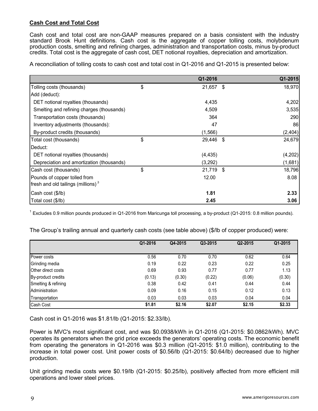# **Cash Cost and Total Cost**

Cash cost and total cost are non-GAAP measures prepared on a basis consistent with the industry standard Brook Hunt definitions. Cash cost is the aggregate of copper tolling costs, molybdenum production costs, smelting and refining charges, administration and transportation costs, minus by-product credits. Total cost is the aggregate of cash cost, DET notional royalties, depreciation and amortization.

A reconciliation of tolling costs to cash cost and total cost in Q1-2016 and Q1-2015 is presented below:

|                                                | Q1-2016      |      | Q1-2015 |
|------------------------------------------------|--------------|------|---------|
| Tolling costs (thousands)                      | \$<br>21,657 | - \$ | 18,970  |
| Add (deduct):                                  |              |      |         |
| DET notional royalties (thousands)             | 4,435        |      | 4,202   |
| Smelting and refining charges (thousands)      | 4,509        |      | 3,535   |
| Transportation costs (thousands)               | 364          |      | 290     |
| Inventory adjustments (thousands):             | 47           |      | 86      |
| By-product credits (thousands)                 | (1,566)      |      | (2,404) |
| Total cost (thousands)                         | \$<br>29,446 | - \$ | 24,679  |
| Deduct:                                        |              |      |         |
| DET notional royalties (thousands)             | (4, 435)     |      | (4,202) |
| Depreciation and amortization (thousands)      | (3,292)      |      | (1,681) |
| Cash cost (thousands)                          | \$<br>21,719 | - \$ | 18,796  |
| Pounds of copper tolled from                   | 12.00        |      | 8.08    |
| fresh and old tailings (millions) <sup>3</sup> |              |      |         |
| Cash cost (\$/lb)                              | 1.81         |      | 2.33    |
| Total cost (\$/lb)                             | 2.45         |      | 3.06    |

 $1$  Excludes 0.9 million pounds produced in Q1-2016 from Maricunga toll processing, a by-product (Q1-2015: 0.8 million pounds).

|  |  | The Group's trailing annual and quarterly cash costs (see table above) (\$/lb of copper produced) were: |  |  |
|--|--|---------------------------------------------------------------------------------------------------------|--|--|

|                           | Q1-2016 | Q4-2015 | Q3-2015 | Q2-2015 | Q1-2015 |
|---------------------------|---------|---------|---------|---------|---------|
|                           |         |         |         |         |         |
| Power costs               | 0.56    | 0.70    | 0.70    | 0.62    | 0.64    |
| Grinding media            | 0.19    | 0.22    | 0.23    | 0.22    | 0.25    |
| <b>Other direct costs</b> | 0.69    | 0.93    | 0.77    | 0.77    | 1.13    |
| By-product credits        | (0.13)  | (0.30)  | (0.22)  | (0.06)  | (0.30)  |
| Smelting & refining       | 0.38    | 0.42    | 0.41    | 0.44    | 0.44    |
| Administration            | 0.09    | 0.16    | 0.15    | 0.12    | 0.13    |
| Transportation            | 0.03    | 0.03    | 0.03    | 0.04    | 0.04    |
| Cash Cost                 | \$1.81  | \$2.16  | \$2.07  | \$2.15  | \$2.33  |

Cash cost in Q1-2016 was \$1.81/lb (Q1-2015: \$2.33/lb).

Power is MVC's most significant cost, and was \$0.0938/kWh in Q1-2016 (Q1-2015: \$0.0862/kWh). MVC operates its generators when the grid price exceeds the generators' operating costs. The economic benefit from operating the generators in Q1-2016 was \$0.3 million (Q1-2015: \$1.0 million), contributing to the increase in total power cost. Unit power costs of \$0.56/lb (Q1-2015: \$0.64/lb) decreased due to higher production.

Unit grinding media costs were \$0.19/lb (Q1-2015: \$0.25/lb), positively affected from more efficient mill operations and lower steel prices.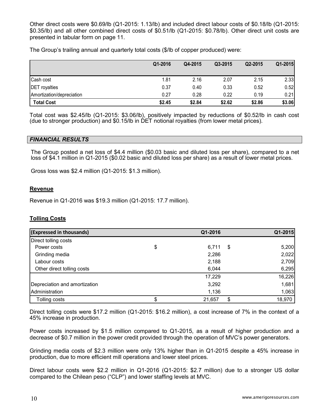Other direct costs were \$0.69/lb (Q1-2015: 1.13/lb) and included direct labour costs of \$0.18/lb (Q1-2015: \$0.35/lb) and all other combined direct costs of \$0.51/lb (Q1-2015: \$0.78/lb). Other direct unit costs are presented in tabular form on page 11.

The Group's trailing annual and quarterly total costs (\$/lb of copper produced) were:

|                           | Q1-2016 | Q4-2015 | Q3-2015 | Q2-2015 | Q1-2015 |
|---------------------------|---------|---------|---------|---------|---------|
| Cash cost                 | 1.81    | 2.16    | 2.07    | 2.15    | 2.33    |
| <b>DET</b> royalties      | 0.37    | 0.40    | 0.33    | 0.52    | 0.52    |
| Amortization/depreciation | 0.27    | 0.28    | 0.22    | 0.19    | 0.21    |
| <b>Total Cost</b>         | \$2.45  | \$2.84  | \$2.62  | \$2.86  | \$3.06  |

Total cost was \$2.45/lb (Q1-2015: \$3.06/lb), positively impacted by reductions of \$0.52/lb in cash cost (due to stronger production) and \$0.15/lb in DET notional royalties (from lower metal prices).

#### *FINANCIAL RESULTS*

The Group posted a net loss of \$4.4 million (\$0.03 basic and diluted loss per share), compared to a net loss of \$4.1 million in Q1-2015 (\$0.02 basic and diluted loss per share) as a result of lower metal prices.

Gross loss was \$2.4 million (Q1-2015: \$1.3 million).

#### **Revenue**

Revenue in Q1-2016 was \$19.3 million (Q1-2015: 17.7 million).

# **Tolling Costs**

| (Expressed in thousands)      | Q1-2016     |      | Q1-2015 |
|-------------------------------|-------------|------|---------|
| Direct tolling costs          |             |      |         |
| Power costs                   | \$<br>6,711 | - \$ | 5,200   |
| Grinding media                | 2,286       |      | 2,022   |
| Labour costs                  | 2,188       |      | 2,709   |
| Other direct tolling costs    | 6,044       |      | 6,295   |
|                               | 17,229      |      | 16,226  |
| Depreciation and amortization | 3,292       |      | 1,681   |
| Administration                | 1,136       |      | 1,063   |
| Tolling costs                 | 21,657      | \$   | 18,970  |

Direct tolling costs were \$17.2 million (Q1-2015: \$16.2 million), a cost increase of 7% in the context of a 45% increase in production.

Power costs increased by \$1.5 million compared to Q1-2015, as a result of higher production and a decrease of \$0.7 million in the power credit provided through the operation of MVC's power generators.

Grinding media costs of \$2.3 million were only 13% higher than in Q1-2015 despite a 45% increase in production, due to more efficient mill operations and lower steel prices.

Direct labour costs were \$2.2 million in Q1-2016 (Q1-2015: \$2.7 million) due to a stronger US dollar compared to the Chilean peso ("CLP") and lower staffing levels at MVC.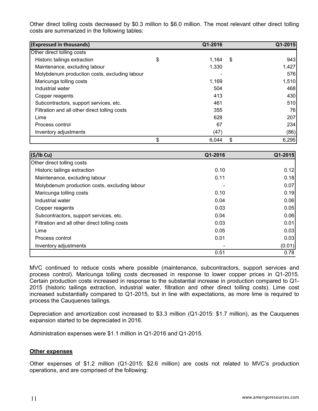Other direct tolling costs decreased by \$0.3 million to \$6.0 million. The most relevant other direct tolling costs are summarized in the following tables:

| (Expressed in thousands)                      | Q1-2016     | Q1-2015     |
|-----------------------------------------------|-------------|-------------|
| Other direct tolling costs                    |             |             |
| Historic tailings extraction                  | \$<br>1,164 | \$<br>943   |
| Maintenance, excluding labour                 | 1,330       | 1,427       |
| Molybdenum production costs, excluding labour |             | 576         |
| Maricunga tolling costs                       | 1,169       | 1,510       |
| Industrial water                              | 504         | 468         |
| Copper reagents                               | 413         | 430         |
| Subcontractors, support services, etc.        | 461         | 510         |
| Filtration and all other direct tolling costs | 355         | 76          |
| Lime                                          | 628         | <b>207</b>  |
| Process control                               | 67          | 234         |
| Inventory adjustments                         | (47)        | (86)        |
|                                               | \$<br>6,044 | \$<br>6,295 |

| $(\$/$ lb Cu)                                 | Q1-2016 | Q1-2015 |
|-----------------------------------------------|---------|---------|
| Other direct tolling costs                    |         |         |
| Historic tailings extraction                  | 0.10    | 0.12    |
| Maintenance, excluding labour                 | 0.11    | 0.18    |
| Molybdenum production costs, excluding labour |         | 0.07    |
| Maricunga tolling costs                       | 0.10    | 0.19    |
| Industrial water                              | 0.04    | 0.06    |
| Copper reagents                               | 0.03    | 0.05    |
| Subcontractors, support services, etc.        | 0.04    | 0.06    |
| Filtration and all other direct tolling costs | 0.03    | 0.01    |
| Lime                                          | 0.05    | 0.03    |
| Process control                               | 0.01    | 0.03    |
| Inventory adjustments                         |         | (0.01)  |
|                                               | 0.51    | 0.78    |

MVC continued to reduce costs where possible (maintenance, subcontractors, support services and process control). Maricunga tolling costs decreased in response to lower copper prices in Q1-2015. Certain production costs increased in response to the substantial increase in production compared to Q1- 2015 (historic tailings extraction, industrial water, filtration and other direct tolling costs). Lime cost increased substantially compared to Q1-2015, but in line with expectations, as more lime is required to process the Cauquenes tailings.

Depreciation and amortization cost increased to \$3.3 million (Q1-2015: \$1.7 million), as the Cauquenes expansion started to be depreciated in 2016.

Administration expenses were \$1.1 million in Q1-2016 and Q1-2015.

#### **Other expenses**

Other expenses of \$1.2 million (Q1-2015: \$2.6 million) are costs not related to MVC's production operations, and are comprised of the following: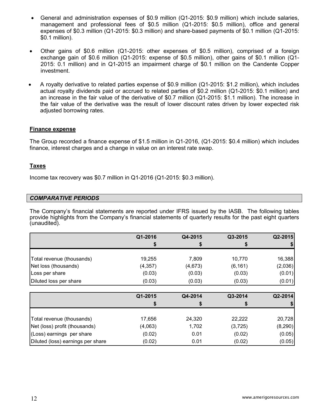- General and administration expenses of \$0.9 million (Q1-2015: \$0.9 million) which include salaries, management and professional fees of \$0.5 million (Q1-2015: \$0.5 million), office and general expenses of \$0.3 million (Q1-2015: \$0.3 million) and share-based payments of \$0.1 million (Q1-2015: \$0.1 million).
- Other gains of \$0.6 million (Q1-2015: other expenses of \$0.5 million), comprised of a foreign exchange gain of \$0.6 million (Q1-2015: expense of \$0.5 million), other gains of \$0.1 million (Q1- 2015: 0.1 million) and in Q1-2015 an impairment charge of \$0.1 million on the Candente Copper investment.
- A royalty derivative to related parties expense of \$0.9 million (Q1-2015: \$1.2 million), which includes actual royalty dividends paid or accrued to related parties of \$0.2 million (Q1-2015: \$0.1 million) and an increase in the fair value of the derivative of \$0.7 million (Q1-2015: \$1.1 million). The increase in the fair value of the derivative was the result of lower discount rates driven by lower expected risk adjusted borrowing rates.

#### **Finance expense**

The Group recorded a finance expense of \$1.5 million in Q1-2016, (Q1-2015: \$0.4 million) which includes finance, interest charges and a change in value on an interest rate swap.

#### **Taxes**

Income tax recovery was \$0.7 million in Q1-2016 (Q1-2015: \$0.3 million).

#### *COMPARATIVE PERIODS*

The Company's financial statements are reported under IFRS issued by the IASB. The following tables provide highlights from the Company's financial statements of quarterly results for the past eight quarters (unaudited).

|                                   | Q1-2016  | Q4-2015 | Q3-2015  | Q2-2015  |
|-----------------------------------|----------|---------|----------|----------|
|                                   |          | \$      | \$       |          |
|                                   |          |         |          |          |
| Total revenue (thousands)         | 19,255   | 7,809   | 10,770   | 16,388   |
| Net loss (thousands)              | (4, 357) | (4,673) | (6, 161) | (2,036)  |
| Loss per share                    | (0.03)   | (0.03)  | (0.03)   | (0.01)   |
| Diluted loss per share            | (0.03)   | (0.03)  | (0.03)   | (0.01)   |
|                                   |          |         |          |          |
|                                   | Q1-2015  | Q4-2014 | Q3-2014  | Q2-2014  |
|                                   |          |         |          |          |
| Total revenue (thousands)         | 17,656   | 24,320  | 22,222   | 20,728   |
| Net (loss) profit (thousands)     | (4,063)  | 1,702   | (3,725)  | (8, 290) |
| (Loss) earnings per share         | (0.02)   | 0.01    | (0.02)   | (0.05)   |
| Diluted (loss) earnings per share | (0.02)   | 0.01    | (0.02)   | (0.05)   |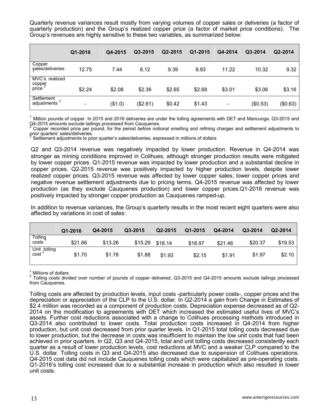Quarterly revenue variances result mostly from varying volumes of copper sales or deliveries (a factor of quarterly production) and the Group's realized copper price (a factor of market price conditions). The Group's revenues are highly sensitive to these two variables, as summarized below:

|                                   | Q1-2016                  | Q4-2015 | Q3-2015  | Q2-2015 | Q1-2015 | Q4-2014 | Q3-2014  | Q2-2014  |
|-----------------------------------|--------------------------|---------|----------|---------|---------|---------|----------|----------|
| Copper<br>sales/deliveries        | 12.75                    | 7.44    | 8.12     | 9.39    | 8.83    | 11.22   | 10.32    | 9.32     |
| MVC's realized<br>cobber<br>price | \$2.24                   | \$2.08  | \$2.36   | \$2.65  | \$2.68  | \$3.01  | \$3.06   | \$3.16   |
| Settlement<br>adjustments         | $\overline{\phantom{0}}$ | (\$1.0) | (\$2.61) | \$0.42  | \$1.43  | -       | (\$0.53) | (\$0.63) |

<sup>1</sup> Million pounds of copper. In 2015 and 2016 deliveries are under the tolling agreements with DET and Maricunga. Q3-2015 and Q4-2015 and Q4-2015 and Q4-2015 and Q4-2015 and Q4-2015 and Q4-2015 and Q4-2015 and Q4-2015 an

<sup>2</sup> Copper recorded price per pound, for the period before notional smelting and refining charges and settlement adjustments to prior quarters' sales/deliveries.

Settlement adjustments to prior quarter's sales/deliveries, expressed in millions of dollars

Q2 and Q3-2014 revenue was negatively impacted by lower production. Revenue in Q4-2014 was stronger as mining conditions improved in Colihues, although stronger production results were mitigated by lower copper prices. Q1-2015 revenue was impacted by lower production and a substantial decline in copper prices. Q2-2015 revenue was positively impacted by higher production levels, despite lower realized copper prices. Q3-2015 revenue was affected by lower copper sales, lower copper prices and negative revenue settlement adjustments due to pricing terms. Q4-2015 revenue was affected by lower production (as they exclude Cauquenes production) and lower copper prices.Q1-2016 revenue was positively impacted by stronger copper production as Cauquenes ramped-up.

In addition to revenue variances, the Group's quarterly results in the most recent eight quarters were also affected by variations in cost of sales:

|                           | Q1-2016 | Q4-2015 | Q3-2015 | Q2-2015 | Q1-2015 | Q4-2014 | Q3-2014 | Q2-2014 |
|---------------------------|---------|---------|---------|---------|---------|---------|---------|---------|
| Tolling<br>costs          | \$21.66 | \$13.26 | \$15.29 | \$18.14 | \$18.97 | \$21.46 | \$20.37 | \$19.53 |
| Unit tolling<br>$\cosh^2$ | \$1.70  | \$1.78  | \$1.88  | \$1.93  | \$2.15  | \$1.91  | \$1.97  | \$2.10  |

<sup>1</sup> Millions of dollars.<br><sup>2</sup> Tolling costs divided over number of pounds of copper delivered. Q3-2015 and Q4-2015 amounts exclude tailings processed from Cauquenes.

Tolling costs are affected by production levels, input costs -particularly power costs-, copper prices and the depreciation or appreciation of the CLP to the U.S. dollar. In Q2-2014 a gain from Change in Estimates of \$2.4 million was recorded as a component of production costs. Depreciation expense decreased as of Q2- 2014 on the modification to agreements with DET which increased the estimated useful lives of MVC's assets. Further cost reductions associated with a change to Colihues processing methods introduced in Q3-2014 also contributed to lower costs. Total production costs increased in Q4-2014 from higher production, but unit cost decreased from prior quarter levels. In Q1-2015 total tolling costs decreased due to lower production, but the decrease in costs was insufficient to maintain the low unit costs that had been achieved in prior quarters. In Q2, Q3 and Q4-2015, total and unit tolling costs decreased consistently each quarter as a result of lower production levels, cost reductions at MVC and a weaker CLP compared to the U.S. dollar. Tolling costs in Q3 and Q4-2015 also decreased due to suspension of Colihues operations. Q4-2015 cost data did not include Cauquenes tolling costs which were capitalized as pre-operating costs. Q1-2016's tolling cost increased due to a substantial increase in production which also resulted in lower unit costs.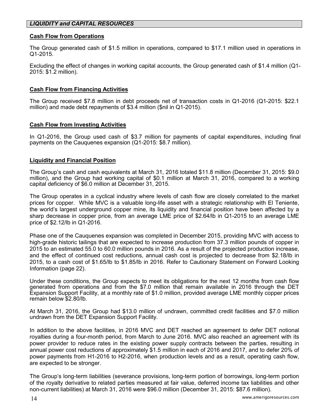# *LIQUIDITY and CAPITAL RESOURCES*

#### **Cash Flow from Operations**

The Group generated cash of \$1.5 million in operations, compared to \$17.1 million used in operations in Q1-2015.

Excluding the effect of changes in working capital accounts, the Group generated cash of \$1.4 million (Q1- 2015: \$1.2 million).

#### **Cash Flow from Financing Activities**

The Group received \$7.8 million in debt proceeds net of transaction costs in Q1-2016 (Q1-2015: \$22.1 million) and made debt repayments of \$3.4 million (\$nil in Q1-2015).

#### **Cash Flow from Investing Activities**

In Q1-2016, the Group used cash of \$3.7 million for payments of capital expenditures, including final payments on the Cauquenes expansion (Q1-2015: \$8.7 million).

#### **Liquidity and Financial Position**

The Group's cash and cash equivalents at March 31, 2016 totaled \$11.8 million (December 31, 2015: \$9.0 million), and the Group had working capital of \$0.1 million at March 31, 2016, compared to a working capital deficiency of \$6.0 million at December 31, 2015.

The Group operates in a cyclical industry where levels of cash flow are closely correlated to the market prices for copper. While MVC is a valuable long-life asset with a strategic relationship with El Teniente, the world's largest underground copper mine, its liquidity and financial position have been affected by a sharp decrease in copper price, from an average LME price of \$2.64/lb in Q1-2015 to an average LME price of \$2.12/lb in Q1-2016.

Phase one of the Cauquenes expansion was completed in December 2015, providing MVC with access to high-grade historic tailings that are expected to increase production from 37.3 million pounds of copper in 2015 to an estimated 55.0 to 60.0 million pounds in 2016. As a result of the projected production increase, and the effect of continued cost reductions, annual cash cost is projected to decrease from \$2.18/lb in 2015, to a cash cost of \$1.65/lb to \$1.85/lb in 2016. Refer to Cautionary Statement on Forward Looking Information (page 22).

Under these conditions, the Group expects to meet its obligations for the next 12 months from cash flow generated from operations and from the \$7.0 million that remain available in 2016 through the DET Expansion Support Facility, at a monthly rate of \$1.0 million, provided average LME monthly copper prices remain below \$2.80/lb.

At March 31, 2016, the Group had \$13.0 million of undrawn, committed credit facilities and \$7.0 million undrawn from the DET Expansion Support Facility.

In addition to the above facilities, in 2016 MVC and DET reached an agreement to defer DET notional royalties during a four-month period, from March to June 2016. MVC also reached an agreement with its power provider to reduce rates in the existing power supply contracts between the parties, resulting in annual power cost reductions of approximately \$1.5 million in each of 2016 and 2017, and to defer 20% of power payments from H1-2016 to H2-2016, when production levels and as a result, operating cash flow, are expected to be stronger.

The Group's long-term liabilities (severance provisions, long-term portion of borrowings, long-term portion of the royalty derivative to related parties measured at fair value, deferred income tax liabilities and other non-current liabilities) at March 31, 2016 were \$96.0 million (December 31, 2015: \$87.6 million).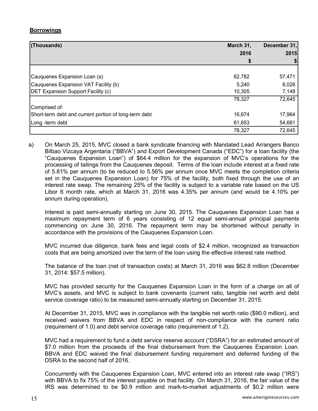# **Borrowings**

| (Thousands)                                           | March 31, | December 31, |
|-------------------------------------------------------|-----------|--------------|
|                                                       | 2016      | 2015         |
|                                                       | \$        |              |
|                                                       |           |              |
| Cauquenes Expansion Loan (a)                          | 62,782    | 57,471       |
| Cauquenes Expansion VAT Facility (b)                  | 5,240     | 8,026        |
| <b>DET Expansion Support Facility (c)</b>             | 10,305    | 7,148        |
|                                                       | 78,327    | 72,645       |
| Comprised of:                                         |           |              |
| Short-term debt and current portion of long-term debt | 16,674    | 17,964       |
| Long -term debt                                       | 61,653    | 54,681       |
|                                                       | 78,327    | 72,645       |

a) On March 25, 2015, MVC closed a bank syndicate financing with Mandated Lead Arrangers Banco Bilbao Vizcaya Argentaria ("BBVA") and Export Development Canada ("EDC") for a loan facility (the "Cauquenes Expansion Loan") of \$64.4 million for the expansion of MVC's operations for the processing of tailings from the Cauquenes deposit. Terms of the loan include interest at a fixed rate of 5.81% per annum (to be reduced to 5.56% per annum once MVC meets the completion criteria set in the Cauquenes Expansion Loan) for 75% of the facility, both fixed through the use of an interest rate swap. The remaining 25% of the facility is subject to a variable rate based on the US Libor 6 month rate, which at March 31, 2016 was 4.35% per annum (and would be 4.10% per annum during operation).

Interest is paid semi-annually starting on June 30, 2015. The Cauquenes Expansion Loan has a maximum repayment term of 6 years consisting of 12 equal semi-annual principal payments commencing on June 30, 2016. The repayment term may be shortened without penalty in accordance with the provisions of the Cauquenes Expansion Loan.

MVC incurred due diligence, bank fees and legal costs of \$2.4 million, recognized as transaction costs that are being amortized over the term of the loan using the effective interest rate method.

The balance of the loan (net of transaction costs) at March 31, 2016 was \$62.8 million (December 31, 2014: \$57.5 million).

MVC has provided security for the Cauquenes Expansion Loan in the form of a charge on all of MVC's assets, and MVC is subject to bank covenants (current ratio, tangible net worth and debt service coverage ratio) to be measured semi-annually starting on December 31, 2015.

At December 31, 2015, MVC was in compliance with the tangible net worth ratio (\$90.0 million), and received waivers from BBVA and EDC in respect of non-compliance with the current ratio (requirement of 1.0) and debt service coverage ratio (requirement of 1.2).

MVC had a requirement to fund a debt service reserve account ("DSRA") for an estimated amount of \$7.0 million from the proceeds of the final disbursement from the Cauquenes Expansion Loan. BBVA and EDC waived the final disbursement funding requirement and deferred funding of the DSRA to the second half of 2016.

Concurrently with the Cauquenes Expansion Loan, MVC entered into an interest rate swap ("IRS") with BBVA to fix 75% of the interest payable on that facility. On March 31, 2016, the fair value of the IRS was determined to be \$0.9 million and mark-to-market adjustments of \$0.2 million were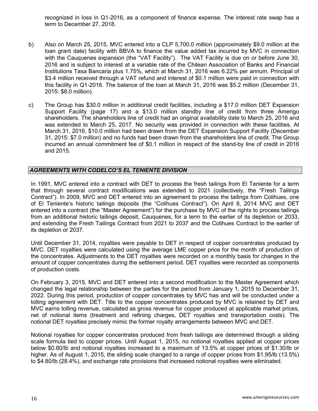recognized in loss in Q1-2016, as a component of finance expense. The interest rate swap has a term to December 27, 2018.

- b) Also on March 25, 2015, MVC entered into a CLP 5,700.0 million (approximately \$9.0 million at the loan grant date) facility with BBVA to finance the value added tax incurred by MVC in connection with the Cauquenes expansion (the "VAT Facility"). The VAT Facility is due on or before June 30, 2016 and is subject to interest at a variable rate of the Chilean Association of Banks and Financial Institutions Tasa Bancaria plus 1.75%, which at March 31, 2016 was 6.22% per annum. Principal of \$3.4 million received through a VAT refund and interest of \$0.1 million were paid in connection with this facility in Q1-2016. The balance of the loan at March 31, 2016 was \$5.2 million (December 31, 2015: \$8.0 million).
- c) The Group has \$30.0 million in additional credit facilities, including a \$17.0 million DET Expansion Support Facility (page 17) and a \$13.0 million standby line of credit from three Amerigo shareholders. The shareholders line of credit had an original availability date to March 25, 2016 and was extended to March 25, 2017. No security was provided in connection with these facilities. At March 31, 2016, \$10.0 million had been drawn from the DET Expansion Support Facility (December 31, 2015: \$7.0 million) and no funds had been drawn from the shareholders line of credit. The Group incurred an annual commitment fee of \$0.1 million in respect of the stand-by line of credit in 2016 and 2015.

# *AGREEMENTS WITH CODELCO'S EL TENIENTE DIVISION*

In 1991, MVC entered into a contract with DET to process the fresh tailings from El Teniente for a term that through several contract modifications was extended to 2021 (collectively, the "Fresh Tailings Contract"). In 2009, MVC and DET entered into an agreement to process the tailings from Colihues, one of El Teniente's historic tailings deposits (the "Colihues Contract"). On April 8, 2014 MVC and DET entered into a contract (the "Master Agreement") for the purchase by MVC of the rights to process tailings from an additional historic tailings deposit, Cauquenes, for a term to the earlier of its depletion or 2033, and extending the Fresh Tailings Contract from 2021 to 2037 and the Colihues Contract to the earlier of its depletion or 2037.

Until December 31, 2014, royalties were payable to DET in respect of copper concentrates produced by MVC. DET royalties were calculated using the average LME copper price for the month of production of the concentrates. Adjustments to the DET royalties were recorded on a monthly basis for changes in the amount of copper concentrates during the settlement period. DET royalties were recorded as components of production costs.

On February 3, 2015, MVC and DET entered into a second modification to the Master Agreement which changed the legal relationship between the parties for the period from January 1, 2015 to December 31, 2022. During this period, production of copper concentrates by MVC has and will be conducted under a tolling agreement with DET. Title to the copper concentrates produced by MVC is retained by DET and MVC earns tolling revenue, calculated as gross revenue for copper produced at applicable market prices, net of notional items (treatment and refining charges, DET royalties and transportation costs). The notional DET royalties precisely mimic the former royalty arrangements between MVC and DET.

Notional royalties for copper concentrates produced from fresh tailings are determined through a sliding scale formula tied to copper prices. Until August 1, 2015, no notional royalties applied at copper prices below \$0.80/lb and notional royalties increased to a maximum of 13.5% at copper prices of \$1.30/lb or higher. As of August 1, 2015, the sliding scale changed to a range of copper prices from \$1.95/lb (13.5%) to \$4.80/lb (28.4%), and exchange rate provisions that increased notional royalties were eliminated.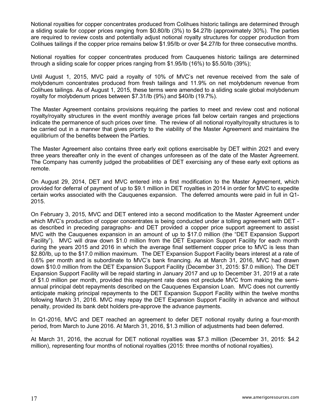Notional royalties for copper concentrates produced from Colihues historic tailings are determined through a sliding scale for copper prices ranging from \$0.80/lb (3%) to \$4.27lb (approximately 30%). The parties are required to review costs and potentially adjust notional royalty structures for copper production from Colihues tailings if the copper price remains below \$1.95/lb or over \$4.27/lb for three consecutive months.

Notional royalties for copper concentrates produced from Cauquenes historic tailings are determined through a sliding scale for copper prices ranging from \$1.95/lb (16%) to \$5.50/lb (39%);

Until August 1, 2015, MVC paid a royalty of 10% of MVC's net revenue received from the sale of molybdenum concentrates produced from fresh tailings and 11.9% on net molybdenum revenue from Colihues tailings. As of August 1, 2015, these terms were amended to a sliding scale global molybdenum royalty for molybdenum prices between \$7.31/lb (9%) and \$40/lb (19.7%).

The Master Agreement contains provisions requiring the parties to meet and review cost and notional royalty/royalty structures in the event monthly average prices fall below certain ranges and projections indicate the permanence of such prices over time. The review of all notional royalty/royalty structures is to be carried out in a manner that gives priority to the viability of the Master Agreement and maintains the equilibrium of the benefits between the Parties.

The Master Agreement also contains three early exit options exercisable by DET within 2021 and every three years thereafter only in the event of changes unforeseen as of the date of the Master Agreement. The Company has currently judged the probabilities of DET exercising any of these early exit options as remote.

On August 29, 2014, DET and MVC entered into a first modification to the Master Agreement, which provided for deferral of payment of up to \$9.1 million in DET royalties in 2014 in order for MVC to expedite certain works associated with the Cauquenes expansion. The deferred amounts were paid in full in Q1- 2015.

On February 3, 2015, MVC and DET entered into a second modification to the Master Agreement under which MVC's production of copper concentrates is being conducted under a tolling agreement with DET as described in preceding paragraphs- and DET provided a copper price support agreement to assist MVC with the Cauquenes expansion in an amount of up to \$17.0 million (the "DET Expansion Support Facility"). MVC will draw down \$1.0 million from the DET Expansion Support Facility for each month during the years 2015 and 2016 in which the average final settlement copper price to MVC is less than \$2.80/lb, up to the \$17.0 million maximum. The DET Expansion Support Facility bears interest at a rate of 0.6% per month and is subordinate to MVC's bank financing. As at March 31, 2016, MVC had drawn down \$10.0 million from the DET Expansion Support Facility (December 31, 2015: \$7.0 million). The DET Expansion Support Facility will be repaid starting in January 2017 and up to December 31, 2019 at a rate of \$1.0 million per month, provided this repayment rate does not preclude MVC from making the semiannual principal debt repayments described on the Cauquenes Expansion Loan. MVC does not currently anticipate making principal repayments to the DET Expansion Support Facility within the twelve months following March 31, 2016. MVC may repay the DET Expansion Support Facility in advance and without penalty, provided its bank debt holders pre-approve the advance payments.

In Q1-2016, MVC and DET reached an agreement to defer DET notional royalty during a four-month period, from March to June 2016. At March 31, 2016, \$1.3 million of adjustments had been deferred.

At March 31, 2016, the accrual for DET notional royalties was \$7.3 million (December 31, 2015: \$4.2 million), representing four months of notional royalties (2015: three months of notional royalties).

`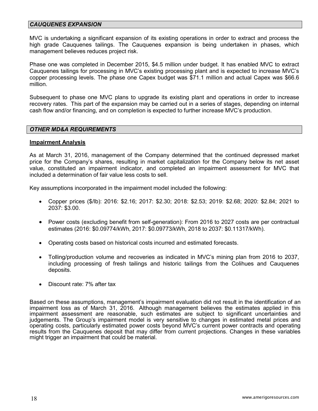## *CAUQUENES EXPANSION*

MVC is undertaking a significant expansion of its existing operations in order to extract and process the high grade Cauquenes tailings. The Cauquenes expansion is being undertaken in phases, which management believes reduces project risk.

Phase one was completed in December 2015, \$4.5 million under budget. It has enabled MVC to extract Cauquenes tailings for processing in MVC's existing processing plant and is expected to increase MVC's copper processing levels. The phase one Capex budget was \$71.1 million and actual Capex was \$66.6 million.

Subsequent to phase one MVC plans to upgrade its existing plant and operations in order to increase recovery rates. This part of the expansion may be carried out in a series of stages, depending on internal cash flow and/or financing, and on completion is expected to further increase MVC's production.

#### *OTHER MD&A REQUIREMENTS*

#### **Impairment Analysis**

As at March 31, 2016, management of the Company determined that the continued depressed market price for the Company's shares, resulting in market capitalization for the Company below its net asset value, constituted an impairment indicator, and completed an impairment assessment for MVC that included a determination of fair value less costs to sell.

Key assumptions incorporated in the impairment model included the following:

- Copper prices (\$/lb): 2016: \$2.16; 2017: \$2.30; 2018: \$2.53; 2019: \$2.68; 2020: \$2.84; 2021 to 2037: \$3.00.
- Power costs (excluding benefit from self-generation): From 2016 to 2027 costs are per contractual estimates (2016: \$0.09774/kWh, 2017: \$0.09773/kWh, 2018 to 2037: \$0.11317/kWh).
- Operating costs based on historical costs incurred and estimated forecasts.
- Tolling/production volume and recoveries as indicated in MVC's mining plan from 2016 to 2037, including processing of fresh tailings and historic tailings from the Colihues and Cauquenes deposits.
- Discount rate: 7% after tax

Based on these assumptions, management's impairment evaluation did not result in the identification of an impairment loss as of March 31, 2016. Although management believes the estimates applied in this impairment assessment are reasonable, such estimates are subject to significant uncertainties and judgements. The Group's impairment model is very sensitive to changes in estimated metal prices and operating costs, particularly estimated power costs beyond MVC's current power contracts and operating results from the Cauquenes deposit that may differ from current projections. Changes in these variables might trigger an impairment that could be material.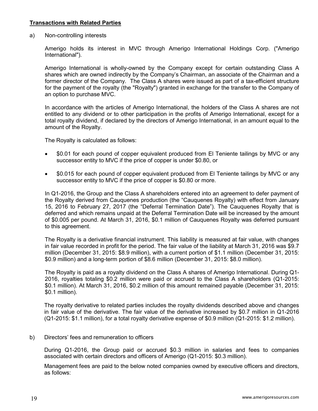## **Transactions with Related Parties**

a) Non-controlling interests

Amerigo holds its interest in MVC through Amerigo International Holdings Corp. ("Amerigo International").

Amerigo International is wholly-owned by the Company except for certain outstanding Class A shares which are owned indirectly by the Company's Chairman, an associate of the Chairman and a former director of the Company. The Class A shares were issued as part of a tax-efficient structure for the payment of the royalty (the "Royalty") granted in exchange for the transfer to the Company of an option to purchase MVC.

In accordance with the articles of Amerigo International, the holders of the Class A shares are not entitled to any dividend or to other participation in the profits of Amerigo International, except for a total royalty dividend, if declared by the directors of Amerigo International, in an amount equal to the amount of the Royalty.

The Royalty is calculated as follows:

- \$0.01 for each pound of copper equivalent produced from El Teniente tailings by MVC or any successor entity to MVC if the price of copper is under \$0.80, or
- \$0.015 for each pound of copper equivalent produced from El Teniente tailings by MVC or any successor entity to MVC if the price of copper is \$0.80 or more.

In Q1-2016, the Group and the Class A shareholders entered into an agreement to defer payment of the Royalty derived from Cauquenes production (the "Cauquenes Royalty) with effect from January 15, 2016 to February 27, 2017 (the "Deferral Termination Date"). The Cauquenes Royalty that is deferred and which remains unpaid at the Deferral Termination Date will be increased by the amount of \$0.005 per pound. At March 31, 2016, \$0.1 million of Cauquenes Royalty was deferred pursuant to this agreement.

The Royalty is a derivative financial instrument. This liability is measured at fair value, with changes in fair value recorded in profit for the period. The fair value of the liability at March 31, 2016 was \$9.7 million (December 31, 2015: \$8.9 million), with a current portion of \$1.1 million (December 31, 2015: \$0.9 million) and a long-term portion of \$8.6 million (December 31, 2015: \$8.0 million).

The Royalty is paid as a royalty dividend on the Class A shares of Amerigo International. During Q1- 2016, royalties totaling \$0.2 million were paid or accrued to the Class A shareholders (Q1-2015: \$0.1 million). At March 31, 2016, \$0.2 million of this amount remained payable (December 31, 2015: \$0.1 million).

The royalty derivative to related parties includes the royalty dividends described above and changes in fair value of the derivative. The fair value of the derivative increased by \$0.7 million in Q1-2016 (Q1-2015: \$1.1 million), for a total royalty derivative expense of \$0.9 million (Q1-2015: \$1.2 million).

b) Directors' fees and remuneration to officers

During Q1-2016, the Group paid or accrued \$0.3 million in salaries and fees to companies associated with certain directors and officers of Amerigo (Q1-2015: \$0.3 million).

Management fees are paid to the below noted companies owned by executive officers and directors, as follows: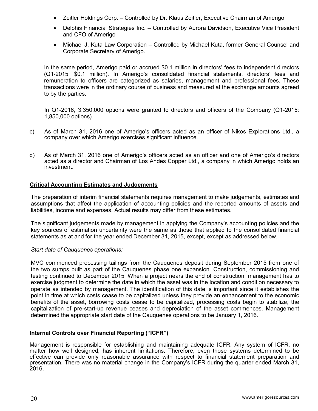- Zeitler Holdings Corp. Controlled by Dr. Klaus Zeitler, Executive Chairman of Amerigo
- Delphis Financial Strategies Inc. Controlled by Aurora Davidson, Executive Vice President and CFO of Amerigo
- Michael J. Kuta Law Corporation Controlled by Michael Kuta, former General Counsel and Corporate Secretary of Amerigo.

In the same period, Amerigo paid or accrued \$0.1 million in directors' fees to independent directors (Q1-2015: \$0.1 million). In Amerigo's consolidated financial statements, directors' fees and remuneration to officers are categorized as salaries, management and professional fees. These transactions were in the ordinary course of business and measured at the exchange amounts agreed to by the parties.

In Q1-2016, 3,350,000 options were granted to directors and officers of the Company (Q1-2015: 1,850,000 options).

- c) As of March 31, 2016 one of Amerigo's officers acted as an officer of Nikos Explorations Ltd., a company over which Amerigo exercises significant influence.
- d) As of March 31, 2016 one of Amerigo's officers acted as an officer and one of Amerigo's directors acted as a director and Chairman of Los Andes Copper Ltd., a company in which Amerigo holds an investment.

#### **Critical Accounting Estimates and Judgements**

The preparation of interim financial statements requires management to make judgements, estimates and assumptions that affect the application of accounting policies and the reported amounts of assets and liabilities, income and expenses. Actual results may differ from these estimates.

The significant judgements made by management in applying the Company's accounting policies and the key sources of estimation uncertainty were the same as those that applied to the consolidated financial statements as at and for the year ended December 31, 2015, except, except as addressed below.

#### *Start date of Cauquenes operations:*

MVC commenced processing tailings from the Cauquenes deposit during September 2015 from one of the two sumps built as part of the Cauquenes phase one expansion. Construction, commissioning and testing continued to December 2015. When a project nears the end of construction, management has to exercise judgment to determine the date in which the asset was in the location and condition necessary to operate as intended by management. The identification of this date is important since it establishes the point in time at which costs cease to be capitalized unless they provide an enhancement to the economic benefits of the asset, borrowing costs cease to be capitalized, processing costs begin to stabilize, the capitalization of pre-start-up revenue ceases and depreciation of the asset commences. Management determined the appropriate start date of the Cauquenes operations to be January 1, 2016.

# **Internal Controls over Financial Reporting ("ICFR")**

Management is responsible for establishing and maintaining adequate ICFR. Any system of ICFR, no matter how well designed, has inherent limitations. Therefore, even those systems determined to be effective can provide only reasonable assurance with respect to financial statement preparation and presentation. There was no material change in the Company's ICFR during the quarter ended March 31, 2016.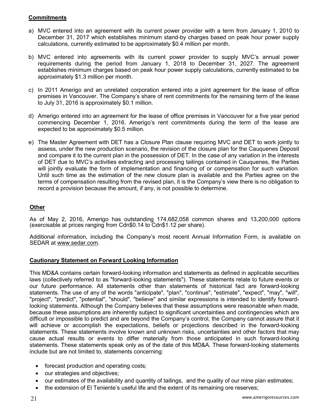# **Commitments**

- a) MVC entered into an agreement with its current power provider with a term from January 1, 2010 to December 31, 2017 which establishes minimum stand-by charges based on peak hour power supply calculations, currently estimated to be approximately \$0.4 million per month.
- b) MVC entered into agreements with its current power provider to supply MVC's annual power requirements during the period from January 1, 2018 to December 31, 2027. The agreement establishes minimum charges based on peak hour power supply calculations, currently estimated to be approximately \$1.3 million per month.
- c) In 2011 Amerigo and an unrelated corporation entered into a joint agreement for the lease of office premises in Vancouver. The Company's share of rent commitments for the remaining term of the lease to July 31, 2016 is approximately \$0.1 million.
- d) Amerigo entered into an agreement for the lease of office premises in Vancouver for a five year period commencing December 1, 2016. Amerigo's rent commitments during the term of the lease are expected to be approximately \$0.5 million.
- e) The Master Agreement with DET has a Closure Plan clause requiring MVC and DET to work jointly to assess, under the new production scenario, the revision of the closure plan for the Cauquenes Deposit and compare it to the current plan in the possession of DET. In the case of any variation in the interests of DET due to MVC's activities extracting and processing tailings contained in Cauquenes, the Parties will jointly evaluate the form of implementation and financing of or compensation for such variation. Until such time as the estimation of the new closure plan is available and the Parties agree on the terms of compensation resulting from the revised plan, it is the Company's view there is no obligation to record a provision because the amount, if any, is not possible to determine.

# **Other**

As of May 2, 2016, Amerigo has outstanding 174,682,058 common shares and 13,200,000 options (exercisable at prices ranging from Cdn\$0.14 to Cdn\$1.12 per share).

Additional information, including the Company's most recent Annual Information Form, is available on SEDAR at www.sedar.com.

# **Cautionary Statement on Forward Looking Information**

This MD&A contains certain forward-looking information and statements as defined in applicable securities laws (collectively referred to as "forward-looking statements"). These statements relate to future events or our future performance. All statements other than statements of historical fact are forward-looking statements. The use of any of the words "anticipate", "plan", "continue", "estimate", "expect", "may", "will", "project", "predict", "potential", "should", "believe" and similar expressions is intended to identify forwardlooking statements. Although the Company believes that these assumptions were reasonable when made, because these assumptions are inherently subject to significant uncertainties and contingencies which are difficult or impossible to predict and are beyond the Company's control, the Company cannot assure that it will achieve or accomplish the expectations, beliefs or projections described in the forward-looking statements. These statements involve known and unknown risks, uncertainties and other factors that may cause actual results or events to differ materially from those anticipated in such forward-looking statements. These statements speak only as of the date of this MD&A. These forward-looking statements include but are not limited to, statements concerning:

- forecast production and operating costs;
- our strategies and objectives;
- our estimates of the availability and quantity of tailings, and the quality of our mine plan estimates;
- the extension of El Teniente's useful life and the extent of its remaining ore reserves;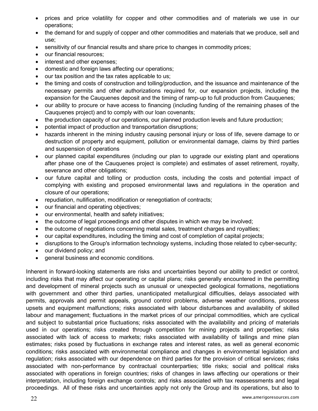- prices and price volatility for copper and other commodities and of materials we use in our operations;
- the demand for and supply of copper and other commodities and materials that we produce, sell and use;
- sensitivity of our financial results and share price to changes in commodity prices;
- our financial resources;
- interest and other expenses;
- domestic and foreign laws affecting our operations;
- our tax position and the tax rates applicable to us;
- the timing and costs of construction and tolling/production, and the issuance and maintenance of the necessary permits and other authorizations required for, our expansion projects, including the expansion for the Cauquenes deposit and the timing of ramp-up to full production from Cauquenes;
- our ability to procure or have access to financing (including funding of the remaining phases of the Cauquenes project) and to comply with our loan covenants;
- the production capacity of our operations, our planned production levels and future production;
- potential impact of production and transportation disruptions;
- hazards inherent in the mining industry causing personal injury or loss of life, severe damage to or destruction of property and equipment, pollution or environmental damage, claims by third parties and suspension of operations
- our planned capital expenditures (including our plan to upgrade our existing plant and operations after phase one of the Cauquenes project is complete) and estimates of asset retirement, royalty, severance and other obligations;
- our future capital and tolling or production costs, including the costs and potential impact of complying with existing and proposed environmental laws and regulations in the operation and closure of our operations;
- repudiation, nullification, modification or renegotiation of contracts;
- our financial and operating objectives;
- our environmental, health and safety initiatives;
- the outcome of legal proceedings and other disputes in which we may be involved;
- the outcome of negotiations concerning metal sales, treatment charges and royalties;
- our capital expenditures, including the timing and cost of completion of capital projects;
- disruptions to the Group's information technology systems, including those related to cyber-security;
- our dividend policy; and
- general business and economic conditions.

Inherent in forward-looking statements are risks and uncertainties beyond our ability to predict or control, including risks that may affect our operating or capital plans; risks generally encountered in the permitting and development of mineral projects such as unusual or unexpected geological formations, negotiations with government and other third parties, unanticipated metallurgical difficulties, delays associated with permits, approvals and permit appeals, ground control problems, adverse weather conditions, process upsets and equipment malfunctions; risks associated with labour disturbances and availability of skilled labour and management; fluctuations in the market prices of our principal commodities, which are cyclical and subject to substantial price fluctuations; risks associated with the availability and pricing of materials used in our operations; risks created through competition for mining projects and properties; risks associated with lack of access to markets; risks associated with availability of tailings and mine plan estimates; risks posed by fluctuations in exchange rates and interest rates, as well as general economic conditions; risks associated with environmental compliance and changes in environmental legislation and regulation; risks associated with our dependence on third parties for the provision of critical services; risks associated with non-performance by contractual counterparties; title risks; social and political risks associated with operations in foreign countries; risks of changes in laws affecting our operations or their interpretation, including foreign exchange controls; and risks associated with tax reassessments and legal proceedings. All of these risks and uncertainties apply not only the Group and its operations, but also to